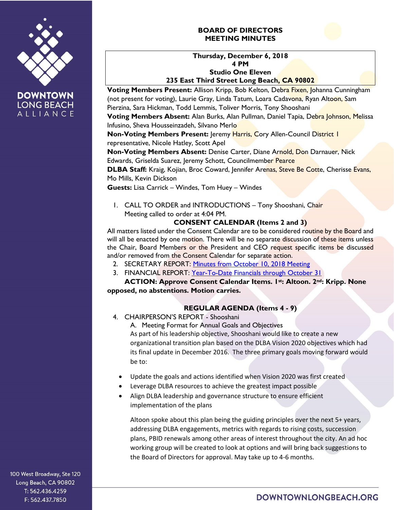

**LONG BEACH** ALLIANCE

# **BOARD OF DIRECTORS MEETING MINUTES**



**Voting Members Present:** Allison Kripp, Bob Kelton, Debra Fixen, Johanna Cunningham (not present for voting), Laurie Gray, Linda Tatum, Loara Cadavona, Ryan Altoon, Sam Pierzina, Sara Hickman, Todd Lemmis, Toliver Morris, Tony Shooshani **Voting Members Absent:** Alan Burks, Alan Pullman, Daniel Tapia, Debra Johnson, Melissa Infusino, Sheva Housseinzadeh, Silvano Merlo

**Non-Voting Members Present: Jeremy Harris, Cory Allen-Council District I** representative, Nicole Hatley, Scott Apel

**Non-Voting Members Absent:** Denise Carter, Diane Arnold, Don Darnauer, Nick Edwards, Griselda Suarez, Jeremy Schott, Councilmember Pearce

**DLBA Staff:** Kraig, Kojian, Broc Coward, Jennifer Arenas, Steve Be Cotte, Cherisse Evans, Mo Mills, Kevin Dickson

**Guests:** Lisa Carrick – Windes, Tom Huey – Windes

1. CALL TO ORDER and INTRODUCTIONS – Tony Shooshani, Chair Meeting called to order at 4:04 PM.

# **CONSENT CALENDAR (Items 2 and 3)**

All matters listed under the Consent Calendar are to be considered routine by the Board and will all be enacted by one motion. There will be no separate discussion of these items unless the Chair, Board Members or the President and CEO request specific items be discussed and/or removed from the Consent Calendar for separate action.

- 2. SECRETARY REPORT: [Minutes from October 10, 2018](https://downtownlongbeach.org/wp-content/uploads/Board-10-10-18-Annual-Meeting-Minutes-F.pdf) Meeting
- 3. FINANCIAL REPORT: [Year-To-Date Financials](https://downtownlongbeach.org/wp-content/uploads/DLBA-Financial-Package-October-2018.pdf) through October 31

**ACTION: Approve Consent Calendar Items. 1st: Altoon. 2nd: Kripp. None opposed, no abstentions. Motion carries.**

# **REGULAR AGENDA (Items 4 - 9)**

4. CHAIRPERSON'S REPORT - Shooshani

A. Meeting Format for Annual Goals and Objectives As part of his leadership objective, Shooshani would like to create a new organizational transition plan based on the DLBA Vision 2020 objectives which had its final update in December 2016. The three primary goals moving forward would be to:

- Update the goals and actions identified when Vision 2020 was first created
- Leverage DLBA resources to achieve the greatest impact possible
- Align DLBA leadership and governance structure to ensure efficient implementation of the plans

Altoon spoke about this plan being the guiding principles over the next 5+ years, addressing DLBA engagements, metrics with regards to rising costs, succession plans, PBID renewals among other areas of interest throughout the city. An ad hoc working group will be created to look at options and will bring back suggestions to the Board of Directors for approval. May take up to 4-6 months.

100 West Broadway, Ste 120 Long Beach, CA 90802 T: 562.436.4259 F: 562.437.7850

DOWNTOWNLONGBEACH.ORG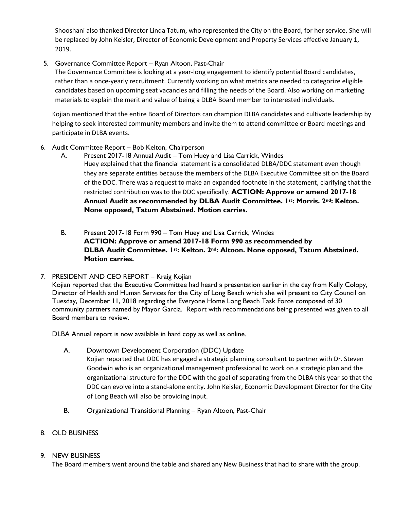Shooshani also thanked Director Linda Tatum, who represented the City on the Board, for her service. She will be replaced by John Keisler, Director of Economic Development and Property Services effective January 1, 2019.

# 5. Governance Committee Report – Ryan Altoon, Past-Chair

The Governance Committee is looking at a year-long engagement to identify potential Board candidates, rather than a once-yearly recruitment. Currently working on what metrics are needed to categorize eligible candidates based on upcoming seat vacancies and filling the needs of the Board. Also working on marketing materials to explain the merit and value of being a DLBA Board member to interested individuals.

Kojian mentioned that the entire Board of Directors can champion DLBA candidates and cultivate leadership by helping to seek interested community members and invite them to attend committee or Board meetings and participate in DLBA events.

### 6. Audit Committee Report – Bob Kelton, Chairperson

- A. Present 2017-18 Annual Audit Tom Huey and Lisa Carrick, Windes Huey explained that the financial statement is a consolidated DLBA/DDC statement even though they are separate entities because the members of the DLBA Executive Committee sit on the Board of the DDC. There was a request to make an expanded footnote in the statement, clarifying that the restricted contribution was to the DDC specifically. **ACTION: Approve or amend 2017-18 Annual Audit as recommended by DLBA Audit Committee. 1st: Morris. 2nd: Kelton. None opposed, Tatum Abstained. Motion carries.**
- B. Present 2017-18 Form 990 Tom Huey and Lisa Carrick, Windes **ACTION: Approve or amend 2017-18 Form 990 as recommended by DLBA Audit Committee. 1st: Kelton. 2nd: Altoon. None opposed, Tatum Abstained. Motion carries.**
- 7. PRESIDENT AND CEO REPORT Kraig Kojian

Kojian reported that the Executive Committee had heard a presentation earlier in the day from Kelly Colopy, Director of Health and Human Services for the City of Long Beach which she will present to City Council on Tuesday, December 11, 2018 regarding the Everyone Home Long Beach Task Force composed of 30 community partners named by Mayor Garcia. Report with recommendations being presented was given to all Board members to review.

DLBA Annual report is now available in hard copy as well as online.

- A. Downtown Development Corporation (DDC) Update Kojian reported that DDC has engaged a strategic planning consultant to partner with Dr. Steven Goodwin who is an organizational management professional to work on a strategic plan and the organizational structure for the DDC with the goal of separating from the DLBA this year so that the DDC can evolve into a stand-alone entity. John Keisler, Economic Development Director for the City of Long Beach will also be providing input.
- B. Organizational Transitional Planning Ryan Altoon, Past-Chair
- 8. OLD BUSINESS

### 9. NEW BUSINESS

The Board members went around the table and shared any New Business that had to share with the group.